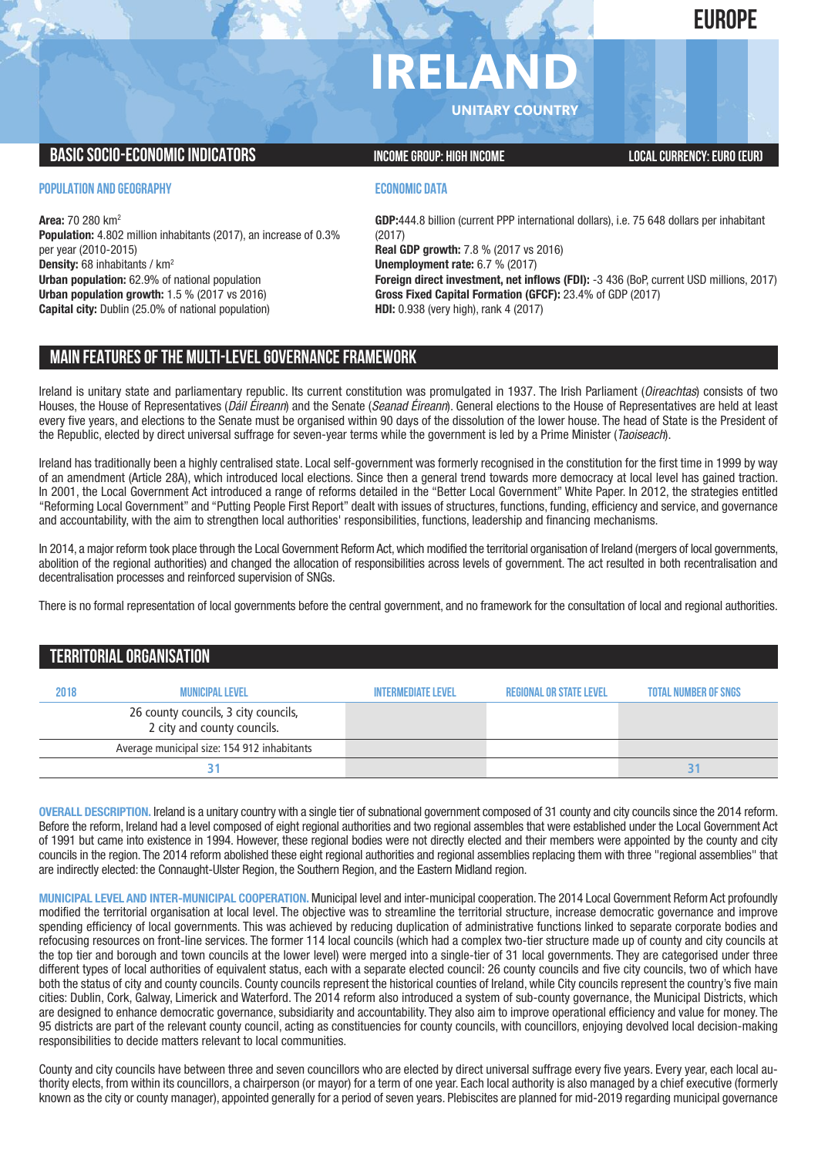**EUROPE**

# **IRELAN**

**UNITARY COUNTRY**

# **BASIC SOCIO-ECONOMIC INDICATORS INCOME GROUP:** HIGH INCOME GROUP: HIGH INCOME

**POPULATION AND GEOGRAPHY**

**Area:** 70 280 km2 **Population:** 4.802 million inhabitants (2017), an increase of 0.3% per year (2010-2015) **Density:** 68 inhabitants / km2 **Urban population:** 62.9% of national population **Urban population growth:** 1.5 % (2017 vs 2016) **Capital city:** Dublin (25.0% of national population)

## **ECONOMIC DATA**

**GDP:**444.8 billion (current PPP international dollars), i.e. 75 648 dollars per inhabitant (2017) **Real GDP growth:** 7.8 % (2017 vs 2016) **Unemployment rate:** 6.7 % (2017) **Foreign direct investment, net inflows (FDI):** -3 436 (BoP, current USD millions, 2017) **Gross Fixed Capital Formation (GFCF):** 23.4% of GDP (2017) **HDI:** 0.938 (very high), rank 4 (2017)

# **MAIN FEATURESOFTHE MULTI-LEVELGOVERNANCEFRAMEWORK**

Ireland is unitary state and parliamentary republic. Its current constitution was promulgated in 1937. The Irish Parliament (*Oireachtas*) consists of two Houses, the House of Representatives (*Dáil Éireann*) and the Senate (*Seanad Éireann*). General elections to the House of Representatives are held at least every five years, and elections to the Senate must be organised within 90 days of the dissolution of the lower house. The head of State is the President of the Republic, elected by direct universal suffrage for seven-year terms while the government is led by a Prime Minister (*Taoiseach*).

Ireland has traditionally been a highly centralised state. Local self-government was formerly recognised in the constitution for the first time in 1999 by way of an amendment (Article 28A), which introduced local elections. Since then a general trend towards more democracy at local level has gained traction. In 2001, the Local Government Act introduced a range of reforms detailed in the "Better Local Government" White Paper. In 2012, the strategies entitled "Reforming Local Government" and "Putting People First Report" dealt with issues of structures, functions, funding, efficiency and service, and governance and accountability, with the aim to strengthen local authorities' responsibilities, functions, leadership and financing mechanisms.

In 2014, a major reform took place through the Local Government Reform Act, which modified the territorial organisation of Ireland (mergers of local governments, abolition of the regional authorities) and changed the allocation of responsibilities across levels of government. The act resulted in both recentralisation and decentralisation processes and reinforced supervision of SNGs.

There is no formal representation of local governments before the central government, and no framework for the consultation of local and regional authorities.

# **TERRITORIALORGANISATION**

| 2018 | <b>MUNICIPAL LEVEL</b>                                              | <b>INTERMEDIATE LEVEL</b> | <b>REGIONAL OR STATE LEVEL</b> | <b>TOTAL NUMBER OF SNGS</b> |
|------|---------------------------------------------------------------------|---------------------------|--------------------------------|-----------------------------|
|      | 26 county councils, 3 city councils,<br>2 city and county councils. |                           |                                |                             |
|      | Average municipal size: 154 912 inhabitants                         |                           |                                |                             |
|      |                                                                     |                           |                                |                             |

**OVERALL DESCRIPTION.** Ireland is a unitary country with a single tier of subnational government composed of 31 county and city councils since the 2014 reform. Before the reform, Ireland had a level composed of eight regional authorities and two regional assembles that were established under the Local Government Act of 1991 but came into existence in 1994. However, these regional bodies were not directly elected and their members were appointed by the county and city councils in the region. The 2014 reform abolished these eight regional authorities and regional assemblies replacing them with three "regional assemblies" that are indirectly elected: the Connaught-Ulster Region, the Southern Region, and the Eastern Midland region.

**MUNICIPAL LEVEL AND INTER-MUNICIPAL COOPERATION.** Municipal level and inter-municipal cooperation. The 2014 Local Government Reform Act profoundly modified the territorial organisation at local level. The objective was to streamline the territorial structure, increase democratic governance and improve spending efficiency of local governments. This was achieved by reducing duplication of administrative functions linked to separate corporate bodies and refocusing resources on front-line services. The former 114 local councils (which had a complex two-tier structure made up of county and city councils at the top tier and borough and town councils at the lower level) were merged into a single-tier of 31 local governments. They are categorised under three different types of local authorities of equivalent status, each with a separate elected council: 26 county councils and five city councils, two of which have both the status of city and county councils. County councils represent the historical counties of Ireland, while City councils represent the country's five main cities: Dublin, Cork, Galway, Limerick and Waterford. The 2014 reform also introduced a system of sub-county governance, the Municipal Districts, which are designed to enhance democratic governance, subsidiarity and accountability. They also aim to improve operational efficiency and value for money. The 95 districts are part of the relevant county council, acting as constituencies for county councils, with councillors, enjoying devolved local decision-making responsibilities to decide matters relevant to local communities.

County and city councils have between three and seven councillors who are elected by direct universal suffrage every five years. Every year, each local authority elects, from within its councillors, a chairperson (or mayor) for a term of one year. Each local authority is also managed by a chief executive (formerly known as the city or county manager), appointed generally for a period of seven years. Plebiscites are planned for mid-2019 regarding municipal governance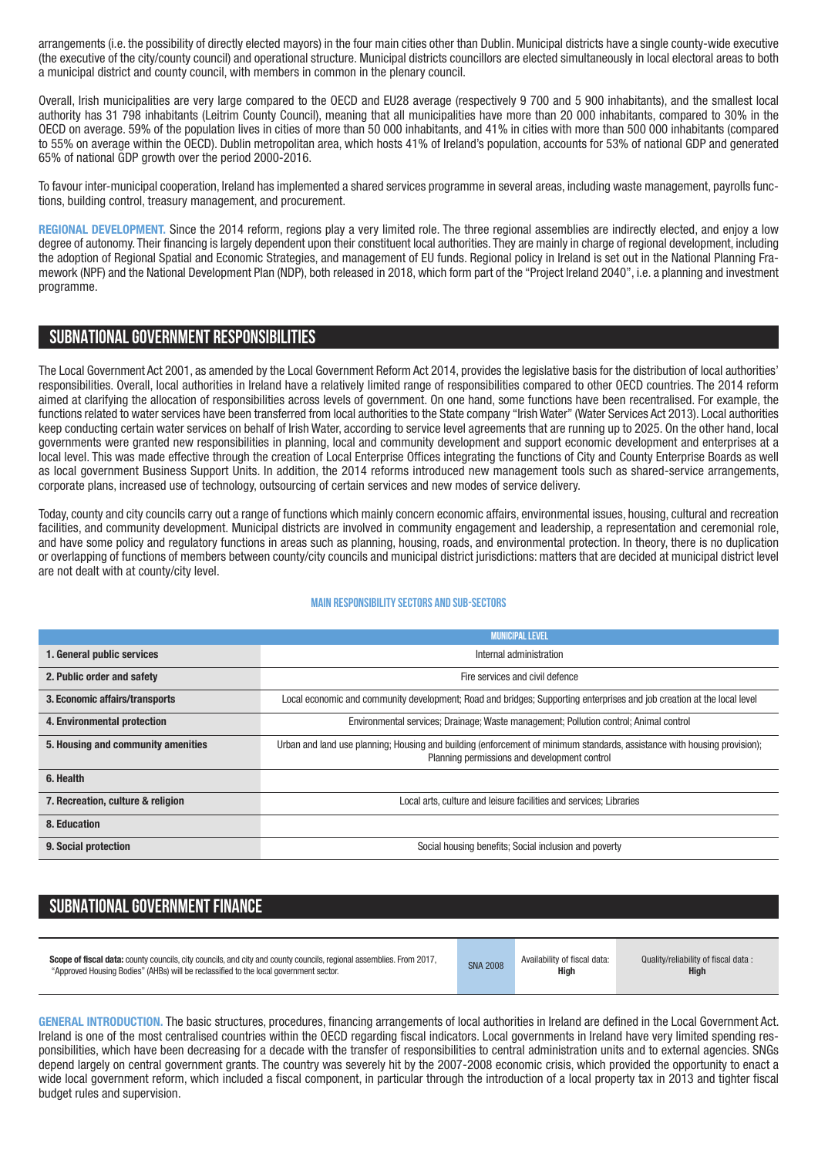arrangements (i.e. the possibility of directly elected mayors) in the four main cities other than Dublin. Municipal districts have a single county-wide executive (the executive of the city/county council) and operational structure. Municipal districts councillors are elected simultaneously in local electoral areas to both a municipal district and county council, with members in common in the plenary council.

Overall, Irish municipalities are very large compared to the OECD and EU28 average (respectively 9 700 and 5 900 inhabitants), and the smallest local authority has 31 798 inhabitants (Leitrim County Council), meaning that all municipalities have more than 20 000 inhabitants, compared to 30% in the OECD on average. 59% of the population lives in cities of more than 50 000 inhabitants, and 41% in cities with more than 500 000 inhabitants (compared to 55% on average within the OECD). Dublin metropolitan area, which hosts 41% of Ireland's population, accounts for 53% of national GDP and generated 65% of national GDP growth over the period 2000-2016.

To favour inter-municipal cooperation, Ireland has implemented a shared services programme in several areas, including waste management, payrolls functions, building control, treasury management, and procurement.

**REGIONAL DEVELOPMENT.** Since the 2014 reform, regions play a very limited role. The three regional assemblies are indirectly elected, and enjoy a low degree of autonomy. Their financing is largely dependent upon their constituent local authorities. They are mainly in charge of regional development, including the adoption of Regional Spatial and Economic Strategies, and management of EU funds. Regional policy in Ireland is set out in the National Planning Framework (NPF) and the National Development Plan (NDP), both released in 2018, which form part of the "Project Ireland 2040", i.e. a planning and investment programme.

# **SUBNATIONALGOVERNMENT RESPONSIBILITIES**

The Local Government Act 2001, as amended by the Local Government Reform Act 2014, provides the legislative basis for the distribution of local authorities' responsibilities. Overall, local authorities in Ireland have a relatively limited range of responsibilities compared to other OECD countries. The 2014 reform aimed at clarifying the allocation of responsibilities across levels of government. On one hand, some functions have been recentralised. For example, the functions related to water services have been transferred from local authorities to the State company "Irish Water" (Water Services Act 2013). Local authorities keep conducting certain water services on behalf of Irish Water, according to service level agreements that are running up to 2025. On the other hand, local governments were granted new responsibilities in planning, local and community development and support economic development and enterprises at a local level. This was made effective through the creation of Local Enterprise Offices integrating the functions of City and County Enterprise Boards as well as local government Business Support Units. In addition, the 2014 reforms introduced new management tools such as shared-service arrangements, corporate plans, increased use of technology, outsourcing of certain services and new modes of service delivery.

Today, county and city councils carry out a range of functions which mainly concern economic affairs, environmental issues, housing, cultural and recreation facilities, and community development. Municipal districts are involved in community engagement and leadership, a representation and ceremonial role, and have some policy and regulatory functions in areas such as planning, housing, roads, and environmental protection. In theory, there is no duplication or overlapping of functions of members between county/city councils and municipal district jurisdictions: matters that are decided at municipal district level are not dealt with at county/city level.

#### **Main responsibilitysectors and sub-sectors**

|                                    | <b>MUNICIPAL LEVEL</b>                                                                                                                                                   |  |  |  |
|------------------------------------|--------------------------------------------------------------------------------------------------------------------------------------------------------------------------|--|--|--|
| 1. General public services         | Internal administration                                                                                                                                                  |  |  |  |
| 2. Public order and safety         | Fire services and civil defence                                                                                                                                          |  |  |  |
| 3. Economic affairs/transports     | Local economic and community development; Road and bridges; Supporting enterprises and job creation at the local level                                                   |  |  |  |
| 4. Environmental protection        | Environmental services; Drainage; Waste management; Pollution control; Animal control                                                                                    |  |  |  |
| 5. Housing and community amenities | Urban and land use planning; Housing and building (enforcement of minimum standards, assistance with housing provision);<br>Planning permissions and development control |  |  |  |
| 6. Health                          |                                                                                                                                                                          |  |  |  |
| 7. Recreation, culture & religion  | Local arts, culture and leisure facilities and services; Libraries                                                                                                       |  |  |  |
| 8. Education                       |                                                                                                                                                                          |  |  |  |
| 9. Social protection               | Social housing benefits; Social inclusion and poverty                                                                                                                    |  |  |  |

# **SUBNATIONAL GOVERNMENT FINANCE**

| <b>Scope of fiscal data:</b> county councils, city councils, and city and county councils, regional assemblies. From 2017, | <b>SNA 2008</b> | Availability of fiscal data: | Quality/reliability of fiscal data: |
|----------------------------------------------------------------------------------------------------------------------------|-----------------|------------------------------|-------------------------------------|
| "Approved Housing Bodies" (AHBs) will be reclassified to the local government sector.                                      |                 | High                         | <b>High</b>                         |

**GENERAL INTRODUCTION.** The basic structures, procedures, financing arrangements of local authorities in Ireland are defined in the Local Government Act. Ireland is one of the most centralised countries within the OECD regarding fiscal indicators. Local governments in Ireland have very limited spending responsibilities, which have been decreasing for a decade with the transfer of responsibilities to central administration units and to external agencies. SNGs depend largely on central government grants. The country was severely hit by the 2007-2008 economic crisis, which provided the opportunity to enact a wide local government reform, which included a fiscal component, in particular through the introduction of a local property tax in 2013 and tighter fiscal budget rules and supervision.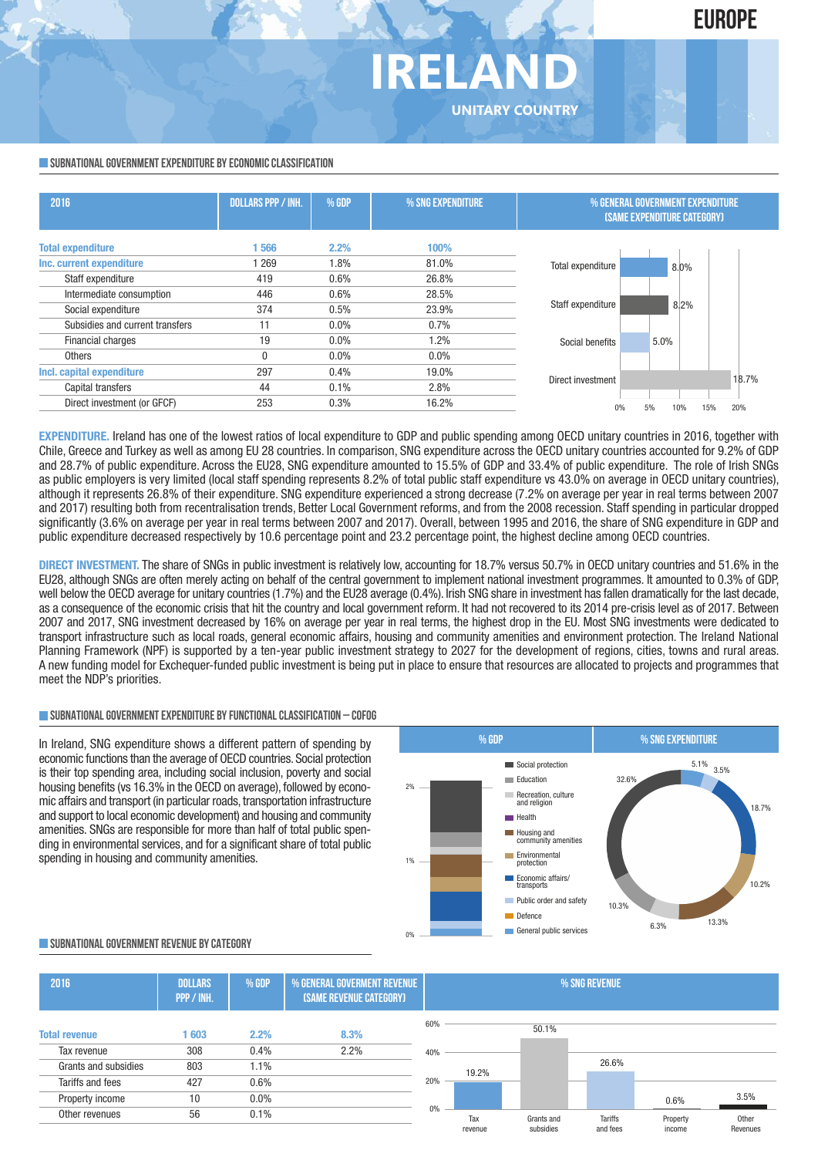# **IRELAND UNITARY COUNTRY**

#### **SUBNATIONAL GOVERNMENT EXPENDITURE BY ECONOMIC CLASSIFICATION**

| <b>DOLLARS PPP / INH.</b> | % GDP | % SNG EXPENDITURE |                 |                                                                      |                                                                                                     |
|---------------------------|-------|-------------------|-----------------|----------------------------------------------------------------------|-----------------------------------------------------------------------------------------------------|
| 566                       | 2.2%  | 100%              |                 |                                                                      |                                                                                                     |
| 1 269                     | 1.8%  | 81.0%             |                 |                                                                      |                                                                                                     |
| 419                       | 0.6%  | 26.8%             |                 |                                                                      |                                                                                                     |
| 446                       | 0.6%  | 28.5%             |                 |                                                                      |                                                                                                     |
| 374                       | 0.5%  | 23.9%             |                 |                                                                      |                                                                                                     |
| 11                        | 0.0%  | 0.7%              |                 |                                                                      |                                                                                                     |
| 19                        | 0.0%  | 1.2%              | Social benefits | 5.0%                                                                 |                                                                                                     |
| 0                         | 0.0%  | 0.0%              |                 |                                                                      |                                                                                                     |
| 297                       | 0.4%  | 19.0%             |                 |                                                                      |                                                                                                     |
| 44                        | 0.1%  | 2.8%              |                 |                                                                      | 18.7%                                                                                               |
| 253                       | 0.3%  | 16.2%             |                 |                                                                      | 20%                                                                                                 |
|                           |       |                   |                 | Total expenditure<br>Staff expenditure<br>Direct investment<br>$0\%$ | % GENERAL GOVERNMENT EXPENDITURE<br>(SAME EXPENDITURE CATEGORY)<br>8.0%<br>8.2%<br>15%<br>5%<br>10% |

**EXPENDITURE.** Ireland has one of the lowest ratios of local expenditure to GDP and public spending among OECD unitary countries in 2016, together with Chile, Greece and Turkey as well as among EU 28 countries. In comparison, SNG expenditure across the OECD unitary countries accounted for 9.2% of GDP and 28.7% of public expenditure. Across the EU28, SNG expenditure amounted to 15.5% of GDP and 33.4% of public expenditure. The role of Irish SNGs as public employers is very limited (local staff spending represents 8.2% of total public staff expenditure vs 43.0% on average in OECD unitary countries), although it represents 26.8% of their expenditure. SNG expenditure experienced a strong decrease (7.2% on average per year in real terms between 2007 and 2017) resulting both from recentralisation trends, Better Local Government reforms, and from the 2008 recession. Staff spending in particular dropped significantly (3.6% on average per year in real terms between 2007 and 2017). Overall, between 1995 and 2016, the share of SNG expenditure in GDP and public expenditure decreased respectively by 10.6 percentage point and 23.2 percentage point, the highest decline among OECD countries.

**DIRECT INVESTMENT.** The share of SNGs in public investment is relatively low, accounting for 18.7% versus 50.7% in OECD unitary countries and 51.6% in the EU28, although SNGs are often merely acting on behalf of the central government to implement national investment programmes. It amounted to 0.3% of GDP, well below the OECD average for unitary countries (1.7%) and the EU28 average (0.4%). Irish SNG share in investment has fallen dramatically for the last decade, as a consequence of the economic crisis that hit the country and local government reform. It had not recovered to its 2014 pre-crisis level as of 2017. Between 2007 and 2017, SNG investment decreased by 16% on average per year in real terms, the highest drop in the EU. Most SNG investments were dedicated to transport infrastructure such as local roads, general economic affairs, housing and community amenities and environment protection. The Ireland National Planning Framework (NPF) is supported by a ten-year public investment strategy to 2027 for the development of regions, cities, towns and rural areas. A new funding model for Exchequer-funded public investment is being put in place to ensure that resources are allocated to projects and programmes that meet the NDP's priorities.

### **SUBNATIONALGOVERNMENTEXPENDITURE BYFUNCTIONALCLASSIFICATION – COFOG**

In Ireland, SNG expenditure shows a different pattern of spending by economic functions than the average of OECD countries. Social protection is their top spending area, including social inclusion, poverty and social housing benefits (vs 16.3% in the OECD on average), followed by economic affairs and transport (in particular roads, transportation infrastructure and support to local economic development) and housing and community amenities. SNGs are responsible for more than half of total public spending in environmental services, and for a significant share of total public spending in housing and community amenities.



#### **SUBNATIONALGOVERNMENT REVENUE BYCATEGORY**

| 2016                 | <b>DOLLARS</b><br>PPP / INH. | % GDP   | <b>% GENERAL GOVERMENT REVENUE</b><br>(SAME REVENUE CATEGORY) |     | % SNG REVENUE  |                         |                     |                    |                   |
|----------------------|------------------------------|---------|---------------------------------------------------------------|-----|----------------|-------------------------|---------------------|--------------------|-------------------|
| <b>Total revenue</b> | 603                          | 2.2%    | 8.3%                                                          | 60% |                | 50.1%                   |                     |                    |                   |
| Tax revenue          | 308                          | 0.4%    | 2.2%                                                          | 40% |                |                         |                     |                    |                   |
| Grants and subsidies | 803                          | 1.1%    |                                                               |     | 19.2%          |                         | 26.6%               |                    |                   |
| Tariffs and fees     | 427                          | 0.6%    |                                                               | 20% |                |                         |                     |                    |                   |
| Property income      | 10                           | $0.0\%$ |                                                               |     |                |                         |                     | 0.6%               | 3.5%              |
| Other revenues       | 56                           | 0.1%    |                                                               | 0%  | Tax<br>revenue | Grants and<br>subsidies | Tariffs<br>and fees | Property<br>income | Other<br>Revenues |